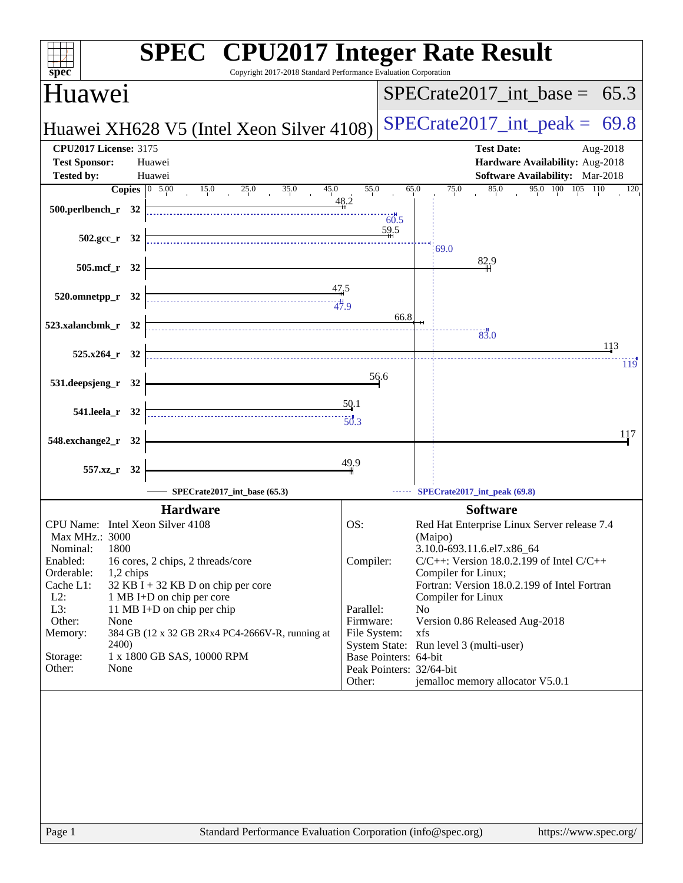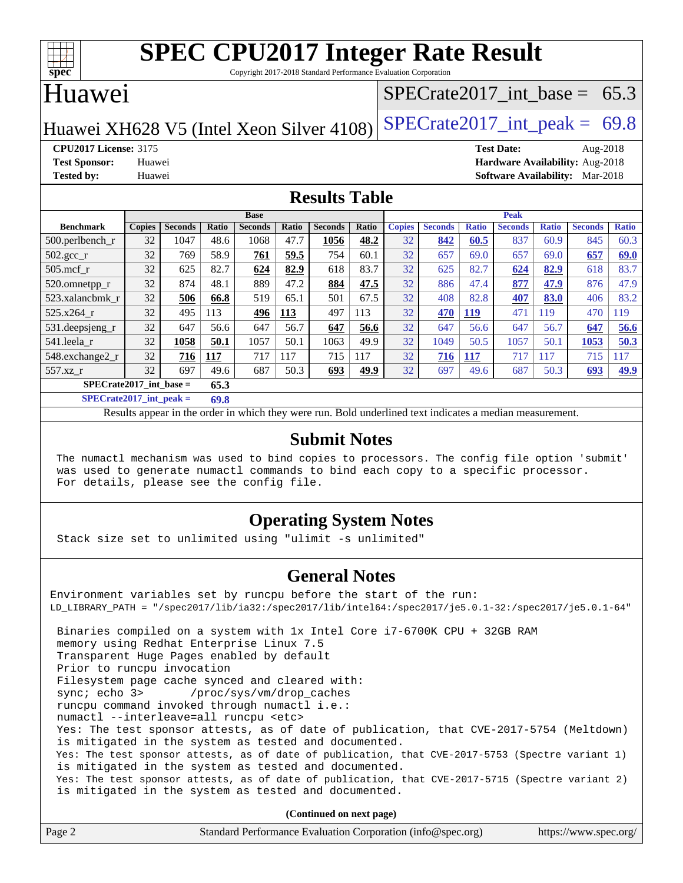

Copyright 2017-2018 Standard Performance Evaluation Corporation

### Huawei

#### SPECrate2017 int\_base =  $65.3$

Huawei XH628 V5 (Intel Xeon Silver  $4108$ ) SPECrate 2017\_int\_peak = 69.8

**[CPU2017 License:](http://www.spec.org/auto/cpu2017/Docs/result-fields.html#CPU2017License)** 3175 **[Test Date:](http://www.spec.org/auto/cpu2017/Docs/result-fields.html#TestDate)** Aug-2018 **[Test Sponsor:](http://www.spec.org/auto/cpu2017/Docs/result-fields.html#TestSponsor)** Huawei **[Hardware Availability:](http://www.spec.org/auto/cpu2017/Docs/result-fields.html#HardwareAvailability)** Aug-2018 **[Tested by:](http://www.spec.org/auto/cpu2017/Docs/result-fields.html#Testedby)** Huawei **[Software Availability:](http://www.spec.org/auto/cpu2017/Docs/result-fields.html#SoftwareAvailability)** Mar-2018

#### **[Results Table](http://www.spec.org/auto/cpu2017/Docs/result-fields.html#ResultsTable)**

|                                   | <b>Base</b>   |                |       |                |       | <b>Peak</b>    |       |               |                |              |                |              |                |                 |
|-----------------------------------|---------------|----------------|-------|----------------|-------|----------------|-------|---------------|----------------|--------------|----------------|--------------|----------------|-----------------|
| <b>Benchmark</b>                  | <b>Copies</b> | <b>Seconds</b> | Ratio | <b>Seconds</b> | Ratio | <b>Seconds</b> | Ratio | <b>Copies</b> | <b>Seconds</b> | <b>Ratio</b> | <b>Seconds</b> | <b>Ratio</b> | <b>Seconds</b> | <b>Ratio</b>    |
| $500.$ perlbench_r                | 32            | 1047           | 48.6  | 1068           | 47.7  | 1056           | 48.2  | 32            | 842            | 60.5         | 837            | 60.9         | 845            | 60.3            |
| 502.gcc_r                         | 32            | 769            | 58.9  | 761            | 59.5  | 754            | 60.1  | 32            | 657            | 69.0         | 657            | 69.0         | 657            | 69.0            |
| $505$ .mcf r                      | 32            | 625            | 82.7  | 624            | 82.9  | 618            | 83.7  | 32            | 625            | 82.7         | 624            | 82.9         | 618            | 83.7            |
| 520.omnetpp_r                     | 32            | 874            | 48.1  | 889            | 47.2  | 884            | 47.5  | 32            | 886            | 47.4         | 877            | 47.9         | 876            | 47.9            |
| 523.xalancbmk r                   | 32            | 506            | 66.8  | 519            | 65.1  | 501            | 67.5  | 32            | 408            | 82.8         | 407            | 83.0         | 406            | 83.2            |
| 525.x264 r                        | 32            | 495            | 113   | 496            | 113   | 497            | 113   | 32            | 470            | 119          | 471            | 119          | 470            | 119             |
| 531.deepsjeng_r                   | 32            | 647            | 56.6  | 647            | 56.7  | 647            | 56.6  | 32            | 647            | 56.6         | 647            | 56.7         | 647            | 56.6            |
| 541.leela r                       | 32            | 1058           | 50.1  | 1057           | 50.1  | 1063           | 49.9  | 32            | 1049           | 50.5         | 1057           | 50.1         | 1053           | 50.3            |
| 548.exchange2 r                   | 32            | 716            | 117   | 717            | 117   | 715            | 117   | 32            | 716            | <b>117</b>   | 717            | 117          | 715            | $\overline{17}$ |
| 557.xz r                          | 32            | 697            | 49.6  | 687            | 50.3  | 693            | 49.9  | 32            | 697            | 49.6         | 687            | 50.3         | 693            | 49.9            |
| $SPECrate2017$ int base =<br>65.3 |               |                |       |                |       |                |       |               |                |              |                |              |                |                 |

**[SPECrate2017\\_int\\_peak =](http://www.spec.org/auto/cpu2017/Docs/result-fields.html#SPECrate2017intpeak) 69.8**

Results appear in the [order in which they were run.](http://www.spec.org/auto/cpu2017/Docs/result-fields.html#RunOrder) Bold underlined text [indicates a median measurement.](http://www.spec.org/auto/cpu2017/Docs/result-fields.html#Median)

#### **[Submit Notes](http://www.spec.org/auto/cpu2017/Docs/result-fields.html#SubmitNotes)**

 The numactl mechanism was used to bind copies to processors. The config file option 'submit' was used to generate numactl commands to bind each copy to a specific processor. For details, please see the config file.

#### **[Operating System Notes](http://www.spec.org/auto/cpu2017/Docs/result-fields.html#OperatingSystemNotes)**

Stack size set to unlimited using "ulimit -s unlimited"

#### **[General Notes](http://www.spec.org/auto/cpu2017/Docs/result-fields.html#GeneralNotes)**

Environment variables set by runcpu before the start of the run: LD\_LIBRARY\_PATH = "/spec2017/lib/ia32:/spec2017/lib/intel64:/spec2017/je5.0.1-32:/spec2017/je5.0.1-64" Binaries compiled on a system with 1x Intel Core i7-6700K CPU + 32GB RAM memory using Redhat Enterprise Linux 7.5 Transparent Huge Pages enabled by default Prior to runcpu invocation Filesystem page cache synced and cleared with: sync; echo 3> /proc/sys/vm/drop\_caches runcpu command invoked through numactl i.e.: numactl --interleave=all runcpu <etc> Yes: The test sponsor attests, as of date of publication, that CVE-2017-5754 (Meltdown) is mitigated in the system as tested and documented. Yes: The test sponsor attests, as of date of publication, that CVE-2017-5753 (Spectre variant 1) is mitigated in the system as tested and documented. Yes: The test sponsor attests, as of date of publication, that CVE-2017-5715 (Spectre variant 2) is mitigated in the system as tested and documented.

**(Continued on next page)**

| Page 2<br>Standard Performance Evaluation Corporation (info@spec.org) | https://www.spec.org/ |
|-----------------------------------------------------------------------|-----------------------|
|-----------------------------------------------------------------------|-----------------------|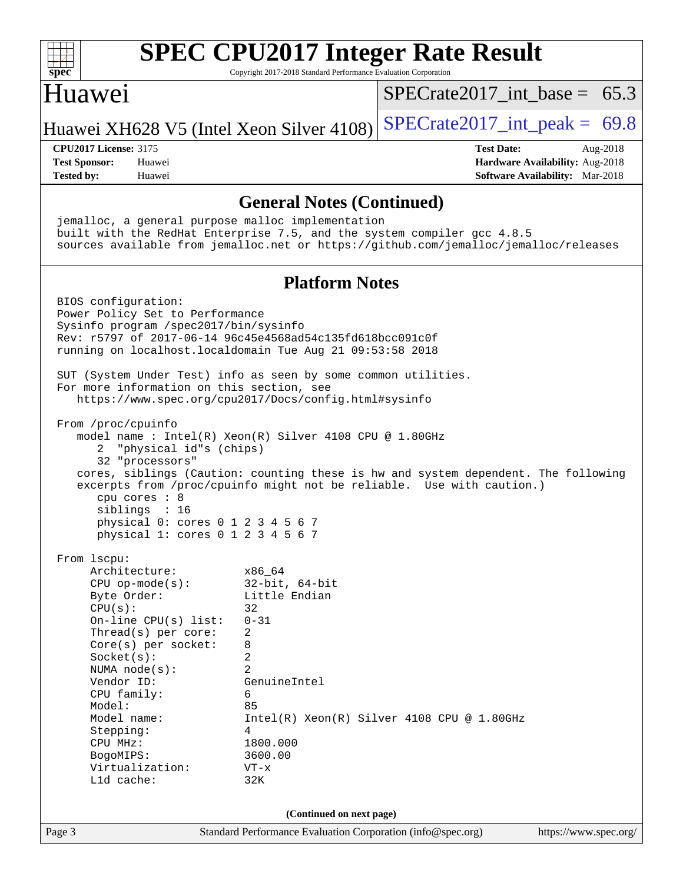| spec                                                                                                                                                                                                                                                                                                                                                                   | <b>SPEC CPU2017 Integer Rate Result</b><br>Copyright 2017-2018 Standard Performance Evaluation Corporation                                                                                                                   |                                  |                   |                                                                    |          |
|------------------------------------------------------------------------------------------------------------------------------------------------------------------------------------------------------------------------------------------------------------------------------------------------------------------------------------------------------------------------|------------------------------------------------------------------------------------------------------------------------------------------------------------------------------------------------------------------------------|----------------------------------|-------------------|--------------------------------------------------------------------|----------|
| Huawei                                                                                                                                                                                                                                                                                                                                                                 |                                                                                                                                                                                                                              | $SPECrate2017\_int\_base = 65.3$ |                   |                                                                    |          |
| Huawei XH628 V5 (Intel Xeon Silver 4108)                                                                                                                                                                                                                                                                                                                               |                                                                                                                                                                                                                              | $SPECTate2017\_int\_peak = 69.8$ |                   |                                                                    |          |
| <b>CPU2017 License: 3175</b><br><b>Test Sponsor:</b><br>Huawei<br><b>Tested by:</b><br>Huawei                                                                                                                                                                                                                                                                          |                                                                                                                                                                                                                              |                                  | <b>Test Date:</b> | Hardware Availability: Aug-2018<br>Software Availability: Mar-2018 | Aug-2018 |
|                                                                                                                                                                                                                                                                                                                                                                        | <b>General Notes (Continued)</b>                                                                                                                                                                                             |                                  |                   |                                                                    |          |
| jemalloc, a general purpose malloc implementation<br>built with the RedHat Enterprise 7.5, and the system compiler gcc 4.8.5<br>sources available from jemalloc.net or https://github.com/jemalloc/jemalloc/releases                                                                                                                                                   |                                                                                                                                                                                                                              |                                  |                   |                                                                    |          |
|                                                                                                                                                                                                                                                                                                                                                                        | <b>Platform Notes</b>                                                                                                                                                                                                        |                                  |                   |                                                                    |          |
| BIOS configuration:<br>Power Policy Set to Performance<br>Sysinfo program /spec2017/bin/sysinfo<br>Rev: r5797 of 2017-06-14 96c45e4568ad54c135fd618bcc091c0f<br>running on localhost.localdomain Tue Aug 21 09:53:58 2018<br>SUT (System Under Test) info as seen by some common utilities.                                                                            |                                                                                                                                                                                                                              |                                  |                   |                                                                    |          |
| For more information on this section, see<br>https://www.spec.org/cpu2017/Docs/config.html#sysinfo                                                                                                                                                                                                                                                                     |                                                                                                                                                                                                                              |                                  |                   |                                                                    |          |
| From /proc/cpuinfo<br>model name: $Intel(R)$ Xeon(R) Silver 4108 CPU @ 1.80GHz<br>"physical id"s (chips)<br>2<br>32 "processors"<br>cores, siblings (Caution: counting these is hw and system dependent. The following<br>excerpts from /proc/cpuinfo might not be reliable. Use with caution.)<br>cpu cores : 8<br>siblings : 16<br>physical 0: cores 0 1 2 3 4 5 6 7 |                                                                                                                                                                                                                              |                                  |                   |                                                                    |          |
| physical 1: cores 0 1 2 3 4 5 6 7<br>From lscpu:                                                                                                                                                                                                                                                                                                                       |                                                                                                                                                                                                                              |                                  |                   |                                                                    |          |
| Architecture:<br>$CPU$ op-mode( $s$ ):<br>Byte Order:<br>CPU(s):<br>On-line CPU(s) list:<br>Thread(s) per core:<br>Core(s) per socket:<br>$Socket(s)$ :<br>NUMA node(s):<br>Vendor ID:<br>CPU family:<br>Model:<br>Model name:<br>Stepping:<br>CPU MHz:<br>BogoMIPS:<br>Virtualization:<br>Lld cache:                                                                  | x86_64<br>$32$ -bit, $64$ -bit<br>Little Endian<br>32<br>$0 - 31$<br>2<br>8<br>2<br>$\overline{a}$<br>GenuineIntel<br>6<br>85<br>$Intel(R) Xeon(R) Silver 4108 CPU @ 1.80GHz$<br>4<br>1800.000<br>3600.00<br>$VT - x$<br>32K |                                  |                   |                                                                    |          |
|                                                                                                                                                                                                                                                                                                                                                                        | (Continued on next page)                                                                                                                                                                                                     |                                  |                   |                                                                    |          |
| Page 3                                                                                                                                                                                                                                                                                                                                                                 | Standard Performance Evaluation Corporation (info@spec.org)                                                                                                                                                                  |                                  |                   | https://www.spec.org/                                              |          |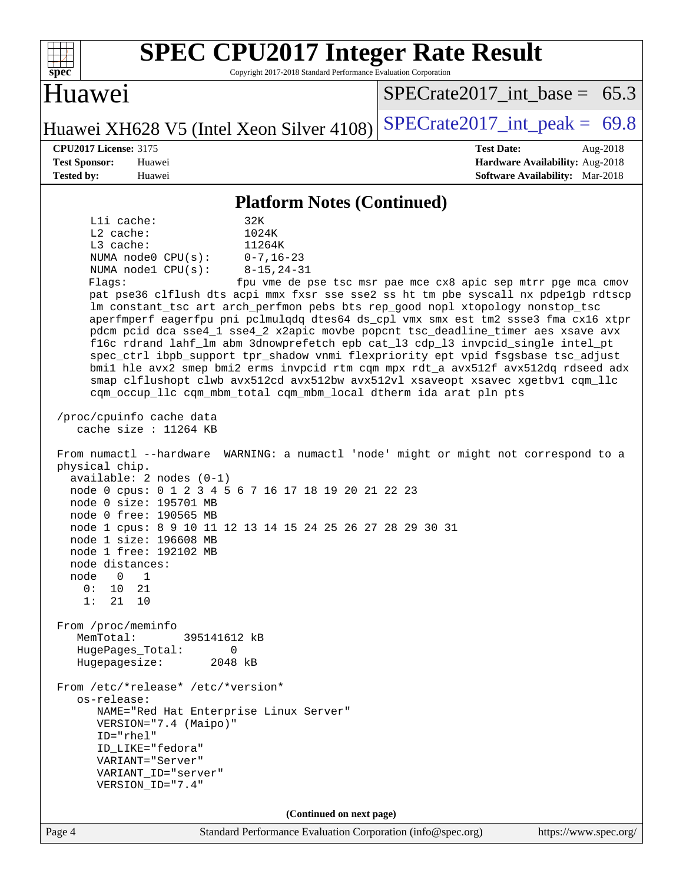| <b>SPEC CPU2017 Integer Rate Result</b><br>Copyright 2017-2018 Standard Performance Evaluation Corporation<br>spec <sup>®</sup>                                                                                                                                                                                                                                                                                                                                                                                                                                                                                                                                                                                                                                                                                                                                                                                                         |                                                                                                     |
|-----------------------------------------------------------------------------------------------------------------------------------------------------------------------------------------------------------------------------------------------------------------------------------------------------------------------------------------------------------------------------------------------------------------------------------------------------------------------------------------------------------------------------------------------------------------------------------------------------------------------------------------------------------------------------------------------------------------------------------------------------------------------------------------------------------------------------------------------------------------------------------------------------------------------------------------|-----------------------------------------------------------------------------------------------------|
| Huawei                                                                                                                                                                                                                                                                                                                                                                                                                                                                                                                                                                                                                                                                                                                                                                                                                                                                                                                                  | $SPECTate2017$ int base = 65.3                                                                      |
| Huawei XH628 V5 (Intel Xeon Silver 4108)                                                                                                                                                                                                                                                                                                                                                                                                                                                                                                                                                                                                                                                                                                                                                                                                                                                                                                | $SPECTate2017\_int\_peak = 69.8$                                                                    |
| <b>CPU2017 License: 3175</b><br><b>Test Sponsor:</b><br>Huawei<br><b>Tested by:</b><br>Huawei                                                                                                                                                                                                                                                                                                                                                                                                                                                                                                                                                                                                                                                                                                                                                                                                                                           | <b>Test Date:</b><br>Aug-2018<br>Hardware Availability: Aug-2018<br>Software Availability: Mar-2018 |
| <b>Platform Notes (Continued)</b>                                                                                                                                                                                                                                                                                                                                                                                                                                                                                                                                                                                                                                                                                                                                                                                                                                                                                                       |                                                                                                     |
| Lli cache:<br>32K<br>$L2$ cache:<br>1024K<br>L3 cache:<br>11264K<br>NUMA node0 CPU(s):<br>$0 - 7, 16 - 23$<br>NUMA nodel CPU(s):<br>$8 - 15, 24 - 31$<br>Flags:<br>pat pse36 clflush dts acpi mmx fxsr sse sse2 ss ht tm pbe syscall nx pdpelgb rdtscp<br>lm constant_tsc art arch_perfmon pebs bts rep_good nopl xtopology nonstop_tsc<br>aperfmperf eagerfpu pni pclmulqdq dtes64 ds_cpl vmx smx est tm2 ssse3 fma cx16 xtpr<br>pdcm pcid dca sse4_1 sse4_2 x2apic movbe popcnt tsc_deadline_timer aes xsave avx<br>fl6c rdrand lahf_lm abm 3dnowprefetch epb cat_13 cdp_13 invpcid_single intel_pt<br>spec_ctrl ibpb_support tpr_shadow vnmi flexpriority ept vpid fsgsbase tsc_adjust<br>bmil hle avx2 smep bmi2 erms invpcid rtm cqm mpx rdt_a avx512f avx512dq rdseed adx<br>smap clflushopt clwb avx512cd avx512bw avx512vl xsaveopt xsavec xgetbvl cqm_llc<br>cqm_occup_llc cqm_mbm_total cqm_mbm_local dtherm ida arat pln pts | fpu vme de pse tsc msr pae mce cx8 apic sep mtrr pge mca cmov                                       |
| /proc/cpuinfo cache data<br>cache size : $11264$ KB                                                                                                                                                                                                                                                                                                                                                                                                                                                                                                                                                                                                                                                                                                                                                                                                                                                                                     |                                                                                                     |
| From numactl --hardware WARNING: a numactl 'node' might or might not correspond to a<br>physical chip.<br>$available: 2 nodes (0-1)$<br>node 0 cpus: 0 1 2 3 4 5 6 7 16 17 18 19 20 21 22 23<br>node 0 size: 195701 MB<br>node 0 free: 190565 MB<br>node 1 cpus: 8 9 10 11 12 13 14 15 24 25 26 27 28 29 30 31<br>node 1 size: 196608 MB<br>node 1 free: 192102 MB<br>node distances:<br>$\overline{0}$<br>$\mathbf 1$<br>node<br>0:<br>10<br>21<br>1:<br>21 10                                                                                                                                                                                                                                                                                                                                                                                                                                                                         |                                                                                                     |
| From /proc/meminfo<br>MemTotal:<br>395141612 kB<br>HugePages_Total:<br>0<br>Hugepagesize:<br>2048 kB                                                                                                                                                                                                                                                                                                                                                                                                                                                                                                                                                                                                                                                                                                                                                                                                                                    |                                                                                                     |
| From /etc/*release* /etc/*version*<br>os-release:<br>NAME="Red Hat Enterprise Linux Server"<br>VERSION="7.4 (Maipo)"<br>ID="rhel"<br>ID_LIKE="fedora"<br>VARIANT="Server"<br>VARIANT_ID="server"<br>VERSION_ID="7.4"                                                                                                                                                                                                                                                                                                                                                                                                                                                                                                                                                                                                                                                                                                                    |                                                                                                     |
| (Continued on next page)                                                                                                                                                                                                                                                                                                                                                                                                                                                                                                                                                                                                                                                                                                                                                                                                                                                                                                                |                                                                                                     |
| Standard Performance Evaluation Corporation (info@spec.org)<br>Page 4                                                                                                                                                                                                                                                                                                                                                                                                                                                                                                                                                                                                                                                                                                                                                                                                                                                                   | https://www.spec.org/                                                                               |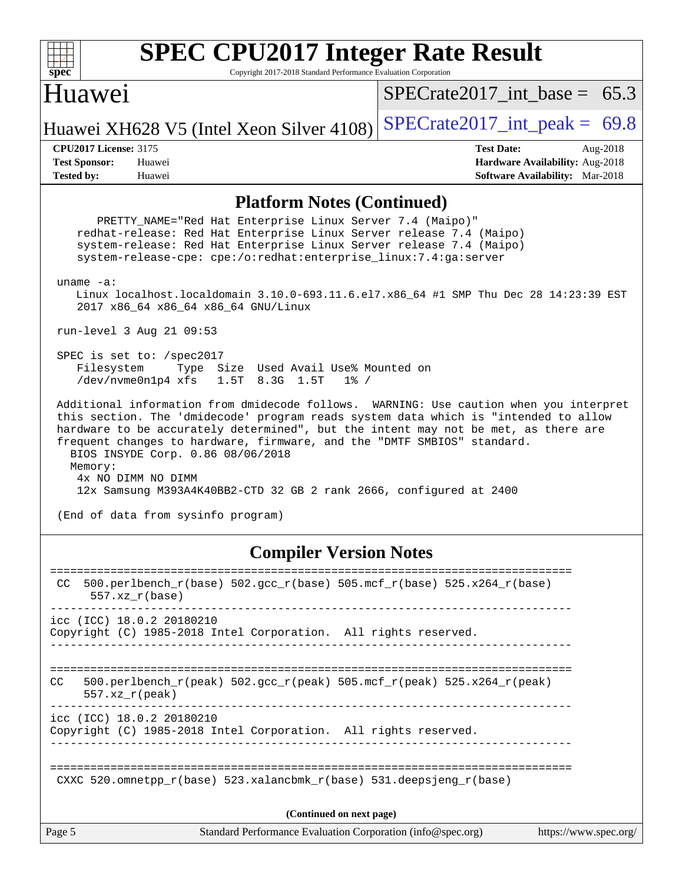| <b>SPEC CPU2017 Integer Rate Result</b><br>spec*                          |                              |
|---------------------------------------------------------------------------|------------------------------|
| Copyright 2017-2018 Standard Performance Evaluation Corporation<br>Huawei | SPECrate2017_int_base = 65.3 |
| Huawei XH628 V5 (Intel Xeon Silver 4108) SPECrate2017_int_peak = 69.8     |                              |

**[Tested by:](http://www.spec.org/auto/cpu2017/Docs/result-fields.html#Testedby)** Huawei **[Software Availability:](http://www.spec.org/auto/cpu2017/Docs/result-fields.html#SoftwareAvailability)** Mar-2018

**[CPU2017 License:](http://www.spec.org/auto/cpu2017/Docs/result-fields.html#CPU2017License)** 3175 **[Test Date:](http://www.spec.org/auto/cpu2017/Docs/result-fields.html#TestDate)** Aug-2018 **[Test Sponsor:](http://www.spec.org/auto/cpu2017/Docs/result-fields.html#TestSponsor)** Huawei **[Hardware Availability:](http://www.spec.org/auto/cpu2017/Docs/result-fields.html#HardwareAvailability)** Aug-2018

#### **[Platform Notes \(Continued\)](http://www.spec.org/auto/cpu2017/Docs/result-fields.html#PlatformNotes)**

PRETTY NAME="Red Hat Enterprise Linux Server 7.4 (Maipo)" redhat-release: Red Hat Enterprise Linux Server release 7.4 (Maipo) system-release: Red Hat Enterprise Linux Server release 7.4 (Maipo) system-release-cpe: cpe:/o:redhat:enterprise\_linux:7.4:ga:server uname -a: Linux localhost.localdomain 3.10.0-693.11.6.el7.x86\_64 #1 SMP Thu Dec 28 14:23:39 EST 2017 x86\_64 x86\_64 x86\_64 GNU/Linux run-level 3 Aug 21 09:53 SPEC is set to: /spec2017 Filesystem Type Size Used Avail Use% Mounted on /dev/nvme0n1p4 xfs 1.5T 8.3G 1.5T 1% / Additional information from dmidecode follows. WARNING: Use caution when you interpret this section. The 'dmidecode' program reads system data which is "intended to allow hardware to be accurately determined", but the intent may not be met, as there are frequent changes to hardware, firmware, and the "DMTF SMBIOS" standard. BIOS INSYDE Corp. 0.86 08/06/2018 Memory: 4x NO DIMM NO DIMM 12x Samsung M393A4K40BB2-CTD 32 GB 2 rank 2666, configured at 2400 (End of data from sysinfo program) **[Compiler Version Notes](http://www.spec.org/auto/cpu2017/Docs/result-fields.html#CompilerVersionNotes)** ============================================================================== CC 500.perlbench\_r(base) 502.gcc\_r(base) 505.mcf\_r(base) 525.x264\_r(base) 557.xz\_r(base) ------------------------------------------------------------------------------

icc (ICC) 18.0.2 20180210 Copyright (C) 1985-2018 Intel Corporation. All rights reserved. ------------------------------------------------------------------------------

============================================================================== CC 500.perlbench\_r(peak) 502.gcc\_r(peak) 505.mcf\_r(peak) 525.x264\_r(peak) 557.xz\_r(peak) ------------------------------------------------------------------------------

icc (ICC) 18.0.2 20180210

Copyright (C) 1985-2018 Intel Corporation. All rights reserved. ------------------------------------------------------------------------------

==============================================================================

CXXC 520.omnetpp  $r(base)$  523.xalancbmk  $r(base)$  531.deepsjeng  $r(base)$ 

**(Continued on next page)**

Page 5 Standard Performance Evaluation Corporation [\(info@spec.org\)](mailto:info@spec.org) <https://www.spec.org/>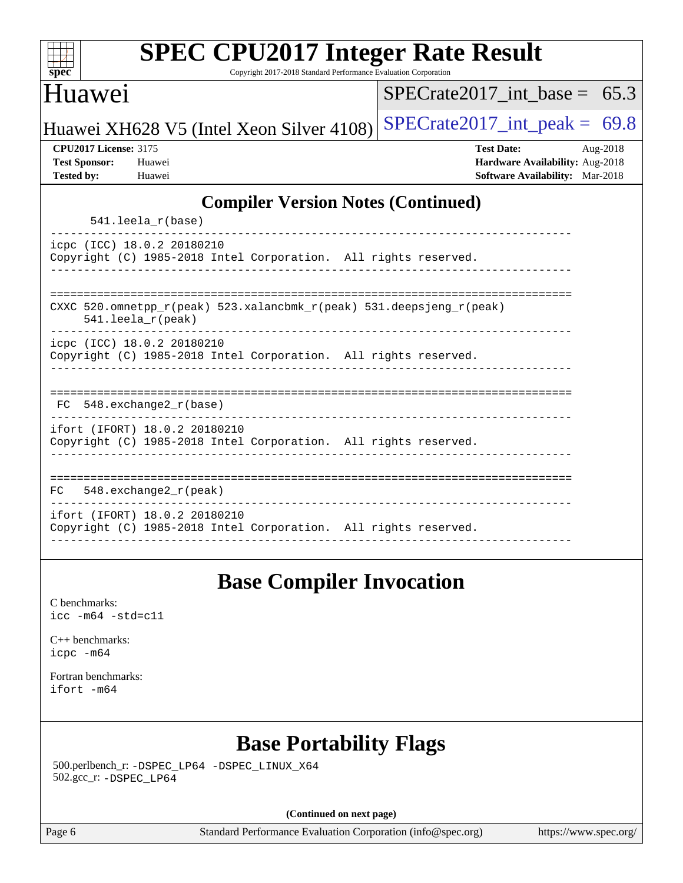| $spec^*$                                                                  | <b>SPEC CPU2017 Integer Rate Result</b><br>Copyright 2017-2018 Standard Performance Evaluation Corporation |                                                                                                |          |
|---------------------------------------------------------------------------|------------------------------------------------------------------------------------------------------------|------------------------------------------------------------------------------------------------|----------|
| Huawei                                                                    |                                                                                                            | $SPECrate2017$ int base = 65.3                                                                 |          |
|                                                                           | Huawei XH628 V5 (Intel Xeon Silver 4108)                                                                   | $SPECTate2017\_int\_peak = 69.8$                                                               |          |
| <b>CPU2017 License: 3175</b><br><b>Test Sponsor:</b><br><b>Tested by:</b> | Huawei<br>Huawei                                                                                           | <b>Test Date:</b><br>Hardware Availability: Aug-2018<br><b>Software Availability:</b> Mar-2018 | Aug-2018 |
|                                                                           | <b>Compiler Version Notes (Continued)</b><br>541.leela_r(base)                                             |                                                                                                |          |
|                                                                           | icpc (ICC) 18.0.2 20180210<br>Copyright (C) 1985-2018 Intel Corporation. All rights reserved.              |                                                                                                |          |
|                                                                           | CXXC 520.omnetpp_r(peak) 523.xalancbmk_r(peak) 531.deepsjeng_r(peak)<br>$541.$ leela_r(peak)               |                                                                                                |          |
|                                                                           | icpc (ICC) 18.0.2 20180210<br>Copyright (C) 1985-2018 Intel Corporation. All rights reserved.              |                                                                                                |          |
|                                                                           | $FC 548. exchange2_r(base)$                                                                                |                                                                                                |          |
|                                                                           | ifort (IFORT) 18.0.2 20180210<br>Copyright (C) 1985-2018 Intel Corporation. All rights reserved.           |                                                                                                |          |
| FC.                                                                       | $548$ . exchange $2\_r$ (peak)                                                                             |                                                                                                |          |
|                                                                           | ifort (IFORT) 18.0.2 20180210<br>Copyright (C) 1985-2018 Intel Corporation. All rights reserved.           |                                                                                                |          |
|                                                                           | <b>Base Compiler Invocation</b>                                                                            |                                                                                                |          |
| C benchmarks:<br>$\text{icc}$ -m64 -std=c11                               |                                                                                                            |                                                                                                |          |
| $C_{++}$ benchmarks:<br>icpc -m64                                         |                                                                                                            |                                                                                                |          |
| Fortran benchmarks:<br>ifort -m64                                         |                                                                                                            |                                                                                                |          |
|                                                                           | <b>Base Portability Flags</b>                                                                              |                                                                                                |          |
|                                                                           | 500.perlbench_r: -DSPEC_LP64 -DSPEC_LINUX_X64                                                              |                                                                                                |          |

502.gcc\_r: [-DSPEC\\_LP64](http://www.spec.org/cpu2017/results/res2018q4/cpu2017-20181008-09096.flags.html#suite_basePORTABILITY502_gcc_r_DSPEC_LP64)

**(Continued on next page)**

Page 6 Standard Performance Evaluation Corporation [\(info@spec.org\)](mailto:info@spec.org) <https://www.spec.org/>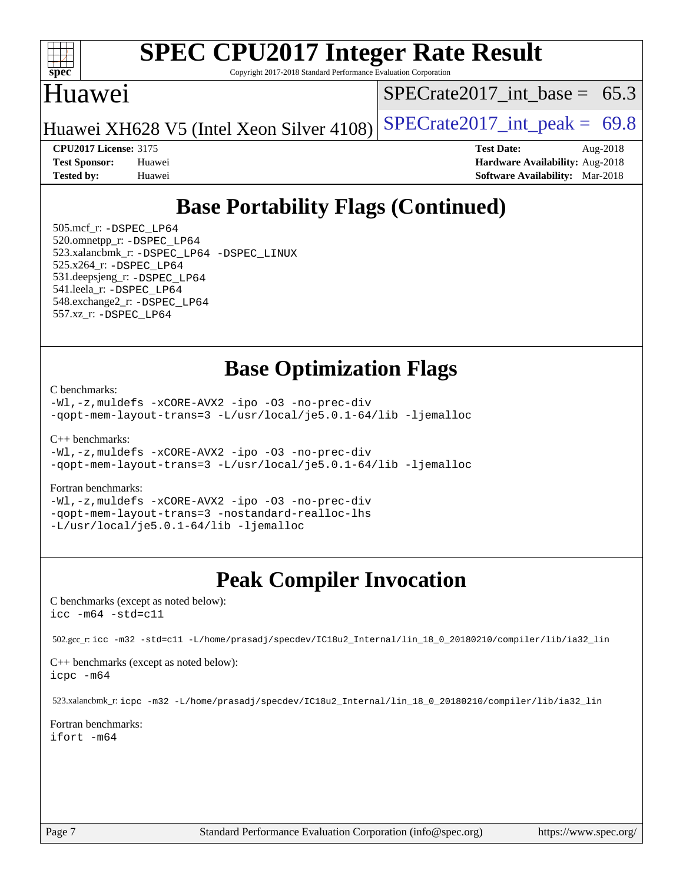

Copyright 2017-2018 Standard Performance Evaluation Corporation

## Huawei

 $SPECTate2017\_int\_base = 65.3$ 

Huawei XH628 V5 (Intel Xeon Silver 4108) SPECrate  $2017$ \_int\_peak = 69.8

**[CPU2017 License:](http://www.spec.org/auto/cpu2017/Docs/result-fields.html#CPU2017License)** 3175 **[Test Date:](http://www.spec.org/auto/cpu2017/Docs/result-fields.html#TestDate)** Aug-2018

**[Test Sponsor:](http://www.spec.org/auto/cpu2017/Docs/result-fields.html#TestSponsor)** Huawei **[Hardware Availability:](http://www.spec.org/auto/cpu2017/Docs/result-fields.html#HardwareAvailability)** Aug-2018 **[Tested by:](http://www.spec.org/auto/cpu2017/Docs/result-fields.html#Testedby)** Huawei **[Software Availability:](http://www.spec.org/auto/cpu2017/Docs/result-fields.html#SoftwareAvailability)** Mar-2018

# **[Base Portability Flags \(Continued\)](http://www.spec.org/auto/cpu2017/Docs/result-fields.html#BasePortabilityFlags)**

 505.mcf\_r: [-DSPEC\\_LP64](http://www.spec.org/cpu2017/results/res2018q4/cpu2017-20181008-09096.flags.html#suite_basePORTABILITY505_mcf_r_DSPEC_LP64) 520.omnetpp\_r: [-DSPEC\\_LP64](http://www.spec.org/cpu2017/results/res2018q4/cpu2017-20181008-09096.flags.html#suite_basePORTABILITY520_omnetpp_r_DSPEC_LP64) 523.xalancbmk\_r: [-DSPEC\\_LP64](http://www.spec.org/cpu2017/results/res2018q4/cpu2017-20181008-09096.flags.html#suite_basePORTABILITY523_xalancbmk_r_DSPEC_LP64) [-DSPEC\\_LINUX](http://www.spec.org/cpu2017/results/res2018q4/cpu2017-20181008-09096.flags.html#b523.xalancbmk_r_baseCXXPORTABILITY_DSPEC_LINUX) 525.x264\_r: [-DSPEC\\_LP64](http://www.spec.org/cpu2017/results/res2018q4/cpu2017-20181008-09096.flags.html#suite_basePORTABILITY525_x264_r_DSPEC_LP64) 531.deepsjeng\_r: [-DSPEC\\_LP64](http://www.spec.org/cpu2017/results/res2018q4/cpu2017-20181008-09096.flags.html#suite_basePORTABILITY531_deepsjeng_r_DSPEC_LP64) 541.leela\_r: [-DSPEC\\_LP64](http://www.spec.org/cpu2017/results/res2018q4/cpu2017-20181008-09096.flags.html#suite_basePORTABILITY541_leela_r_DSPEC_LP64) 548.exchange2\_r: [-DSPEC\\_LP64](http://www.spec.org/cpu2017/results/res2018q4/cpu2017-20181008-09096.flags.html#suite_basePORTABILITY548_exchange2_r_DSPEC_LP64) 557.xz\_r: [-DSPEC\\_LP64](http://www.spec.org/cpu2017/results/res2018q4/cpu2017-20181008-09096.flags.html#suite_basePORTABILITY557_xz_r_DSPEC_LP64)

### **[Base Optimization Flags](http://www.spec.org/auto/cpu2017/Docs/result-fields.html#BaseOptimizationFlags)**

[C benchmarks](http://www.spec.org/auto/cpu2017/Docs/result-fields.html#Cbenchmarks):

[-Wl,-z,muldefs](http://www.spec.org/cpu2017/results/res2018q4/cpu2017-20181008-09096.flags.html#user_CCbase_link_force_multiple1_b4cbdb97b34bdee9ceefcfe54f4c8ea74255f0b02a4b23e853cdb0e18eb4525ac79b5a88067c842dd0ee6996c24547a27a4b99331201badda8798ef8a743f577) [-xCORE-AVX2](http://www.spec.org/cpu2017/results/res2018q4/cpu2017-20181008-09096.flags.html#user_CCbase_f-xCORE-AVX2) [-ipo](http://www.spec.org/cpu2017/results/res2018q4/cpu2017-20181008-09096.flags.html#user_CCbase_f-ipo) [-O3](http://www.spec.org/cpu2017/results/res2018q4/cpu2017-20181008-09096.flags.html#user_CCbase_f-O3) [-no-prec-div](http://www.spec.org/cpu2017/results/res2018q4/cpu2017-20181008-09096.flags.html#user_CCbase_f-no-prec-div) [-qopt-mem-layout-trans=3](http://www.spec.org/cpu2017/results/res2018q4/cpu2017-20181008-09096.flags.html#user_CCbase_f-qopt-mem-layout-trans_de80db37974c74b1f0e20d883f0b675c88c3b01e9d123adea9b28688d64333345fb62bc4a798493513fdb68f60282f9a726aa07f478b2f7113531aecce732043) [-L/usr/local/je5.0.1-64/lib](http://www.spec.org/cpu2017/results/res2018q4/cpu2017-20181008-09096.flags.html#user_CCbase_jemalloc_link_path64_4b10a636b7bce113509b17f3bd0d6226c5fb2346b9178c2d0232c14f04ab830f976640479e5c33dc2bcbbdad86ecfb6634cbbd4418746f06f368b512fced5394) [-ljemalloc](http://www.spec.org/cpu2017/results/res2018q4/cpu2017-20181008-09096.flags.html#user_CCbase_jemalloc_link_lib_d1249b907c500fa1c0672f44f562e3d0f79738ae9e3c4a9c376d49f265a04b9c99b167ecedbf6711b3085be911c67ff61f150a17b3472be731631ba4d0471706)

[C++ benchmarks:](http://www.spec.org/auto/cpu2017/Docs/result-fields.html#CXXbenchmarks)

[-Wl,-z,muldefs](http://www.spec.org/cpu2017/results/res2018q4/cpu2017-20181008-09096.flags.html#user_CXXbase_link_force_multiple1_b4cbdb97b34bdee9ceefcfe54f4c8ea74255f0b02a4b23e853cdb0e18eb4525ac79b5a88067c842dd0ee6996c24547a27a4b99331201badda8798ef8a743f577) [-xCORE-AVX2](http://www.spec.org/cpu2017/results/res2018q4/cpu2017-20181008-09096.flags.html#user_CXXbase_f-xCORE-AVX2) [-ipo](http://www.spec.org/cpu2017/results/res2018q4/cpu2017-20181008-09096.flags.html#user_CXXbase_f-ipo) [-O3](http://www.spec.org/cpu2017/results/res2018q4/cpu2017-20181008-09096.flags.html#user_CXXbase_f-O3) [-no-prec-div](http://www.spec.org/cpu2017/results/res2018q4/cpu2017-20181008-09096.flags.html#user_CXXbase_f-no-prec-div) [-qopt-mem-layout-trans=3](http://www.spec.org/cpu2017/results/res2018q4/cpu2017-20181008-09096.flags.html#user_CXXbase_f-qopt-mem-layout-trans_de80db37974c74b1f0e20d883f0b675c88c3b01e9d123adea9b28688d64333345fb62bc4a798493513fdb68f60282f9a726aa07f478b2f7113531aecce732043) [-L/usr/local/je5.0.1-64/lib](http://www.spec.org/cpu2017/results/res2018q4/cpu2017-20181008-09096.flags.html#user_CXXbase_jemalloc_link_path64_4b10a636b7bce113509b17f3bd0d6226c5fb2346b9178c2d0232c14f04ab830f976640479e5c33dc2bcbbdad86ecfb6634cbbd4418746f06f368b512fced5394) [-ljemalloc](http://www.spec.org/cpu2017/results/res2018q4/cpu2017-20181008-09096.flags.html#user_CXXbase_jemalloc_link_lib_d1249b907c500fa1c0672f44f562e3d0f79738ae9e3c4a9c376d49f265a04b9c99b167ecedbf6711b3085be911c67ff61f150a17b3472be731631ba4d0471706)

#### [Fortran benchmarks](http://www.spec.org/auto/cpu2017/Docs/result-fields.html#Fortranbenchmarks):

[-Wl,-z,muldefs](http://www.spec.org/cpu2017/results/res2018q4/cpu2017-20181008-09096.flags.html#user_FCbase_link_force_multiple1_b4cbdb97b34bdee9ceefcfe54f4c8ea74255f0b02a4b23e853cdb0e18eb4525ac79b5a88067c842dd0ee6996c24547a27a4b99331201badda8798ef8a743f577) [-xCORE-AVX2](http://www.spec.org/cpu2017/results/res2018q4/cpu2017-20181008-09096.flags.html#user_FCbase_f-xCORE-AVX2) [-ipo](http://www.spec.org/cpu2017/results/res2018q4/cpu2017-20181008-09096.flags.html#user_FCbase_f-ipo) [-O3](http://www.spec.org/cpu2017/results/res2018q4/cpu2017-20181008-09096.flags.html#user_FCbase_f-O3) [-no-prec-div](http://www.spec.org/cpu2017/results/res2018q4/cpu2017-20181008-09096.flags.html#user_FCbase_f-no-prec-div) [-qopt-mem-layout-trans=3](http://www.spec.org/cpu2017/results/res2018q4/cpu2017-20181008-09096.flags.html#user_FCbase_f-qopt-mem-layout-trans_de80db37974c74b1f0e20d883f0b675c88c3b01e9d123adea9b28688d64333345fb62bc4a798493513fdb68f60282f9a726aa07f478b2f7113531aecce732043) [-nostandard-realloc-lhs](http://www.spec.org/cpu2017/results/res2018q4/cpu2017-20181008-09096.flags.html#user_FCbase_f_2003_std_realloc_82b4557e90729c0f113870c07e44d33d6f5a304b4f63d4c15d2d0f1fab99f5daaed73bdb9275d9ae411527f28b936061aa8b9c8f2d63842963b95c9dd6426b8a) [-L/usr/local/je5.0.1-64/lib](http://www.spec.org/cpu2017/results/res2018q4/cpu2017-20181008-09096.flags.html#user_FCbase_jemalloc_link_path64_4b10a636b7bce113509b17f3bd0d6226c5fb2346b9178c2d0232c14f04ab830f976640479e5c33dc2bcbbdad86ecfb6634cbbd4418746f06f368b512fced5394) [-ljemalloc](http://www.spec.org/cpu2017/results/res2018q4/cpu2017-20181008-09096.flags.html#user_FCbase_jemalloc_link_lib_d1249b907c500fa1c0672f44f562e3d0f79738ae9e3c4a9c376d49f265a04b9c99b167ecedbf6711b3085be911c67ff61f150a17b3472be731631ba4d0471706)

## **[Peak Compiler Invocation](http://www.spec.org/auto/cpu2017/Docs/result-fields.html#PeakCompilerInvocation)**

[C benchmarks \(except as noted below\)](http://www.spec.org/auto/cpu2017/Docs/result-fields.html#Cbenchmarksexceptasnotedbelow): [icc -m64 -std=c11](http://www.spec.org/cpu2017/results/res2018q4/cpu2017-20181008-09096.flags.html#user_CCpeak_intel_icc_64bit_c11_33ee0cdaae7deeeab2a9725423ba97205ce30f63b9926c2519791662299b76a0318f32ddfffdc46587804de3178b4f9328c46fa7c2b0cd779d7a61945c91cd35)

502.gcc\_r: [icc -m32 -std=c11 -L/home/prasadj/specdev/IC18u2\\_Internal/lin\\_18\\_0\\_20180210/compiler/lib/ia32\\_lin](http://www.spec.org/cpu2017/results/res2018q4/cpu2017-20181008-09096.flags.html#user_peakCCLD502_gcc_r_intel_icc_a481ac844e7127046fad14d498c730a1848fa901fbbb2c3dfdd5e9fbbac777c8009953946d55d8b6afe8ed0da70dd2b4f8dedbdf7ab1ee211ba70d24a5d89f85)

[C++ benchmarks \(except as noted below\):](http://www.spec.org/auto/cpu2017/Docs/result-fields.html#CXXbenchmarksexceptasnotedbelow) [icpc -m64](http://www.spec.org/cpu2017/results/res2018q4/cpu2017-20181008-09096.flags.html#user_CXXpeak_intel_icpc_64bit_4ecb2543ae3f1412ef961e0650ca070fec7b7afdcd6ed48761b84423119d1bf6bdf5cad15b44d48e7256388bc77273b966e5eb805aefd121eb22e9299b2ec9d9)

523.xalancbmk\_r: [icpc -m32 -L/home/prasadj/specdev/IC18u2\\_Internal/lin\\_18\\_0\\_20180210/compiler/lib/ia32\\_lin](http://www.spec.org/cpu2017/results/res2018q4/cpu2017-20181008-09096.flags.html#user_peakCXXLD523_xalancbmk_r_intel_icpc_c6d030cd79af6ea7d6fb64c57e8fe7ae8fe0b96fc5a3b3f4a10e3273b3d7fa9decd8263f6330cef23f751cb093a69fae84a2bf4c243500a8eed069248128076f)

[Fortran benchmarks](http://www.spec.org/auto/cpu2017/Docs/result-fields.html#Fortranbenchmarks): [ifort -m64](http://www.spec.org/cpu2017/results/res2018q4/cpu2017-20181008-09096.flags.html#user_FCpeak_intel_ifort_64bit_24f2bb282fbaeffd6157abe4f878425411749daecae9a33200eee2bee2fe76f3b89351d69a8130dd5949958ce389cf37ff59a95e7a40d588e8d3a57e0c3fd751)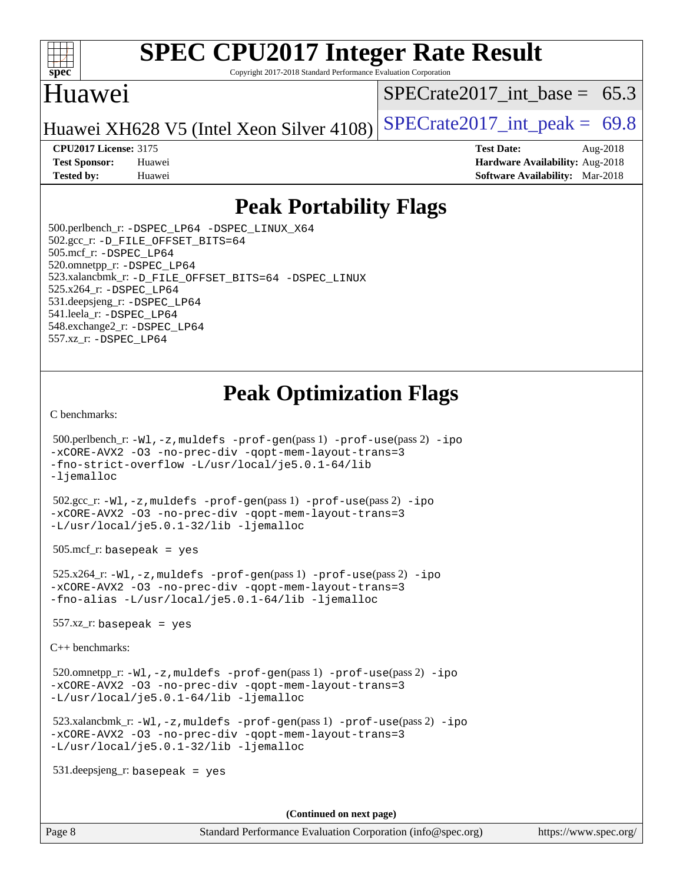

Copyright 2017-2018 Standard Performance Evaluation Corporation

## Huawei

SPECrate2017 int\_base =  $65.3$ 

Huawei XH628 V5 (Intel Xeon Silver 4108) SPECrate  $2017$ \_int\_peak = 69.8

**[CPU2017 License:](http://www.spec.org/auto/cpu2017/Docs/result-fields.html#CPU2017License)** 3175 **[Test Date:](http://www.spec.org/auto/cpu2017/Docs/result-fields.html#TestDate)** Aug-2018 **[Test Sponsor:](http://www.spec.org/auto/cpu2017/Docs/result-fields.html#TestSponsor)** Huawei **[Hardware Availability:](http://www.spec.org/auto/cpu2017/Docs/result-fields.html#HardwareAvailability)** Aug-2018 **[Tested by:](http://www.spec.org/auto/cpu2017/Docs/result-fields.html#Testedby)** Huawei **[Software Availability:](http://www.spec.org/auto/cpu2017/Docs/result-fields.html#SoftwareAvailability)** Mar-2018

## **[Peak Portability Flags](http://www.spec.org/auto/cpu2017/Docs/result-fields.html#PeakPortabilityFlags)**

 500.perlbench\_r: [-DSPEC\\_LP64](http://www.spec.org/cpu2017/results/res2018q4/cpu2017-20181008-09096.flags.html#b500.perlbench_r_peakPORTABILITY_DSPEC_LP64) [-DSPEC\\_LINUX\\_X64](http://www.spec.org/cpu2017/results/res2018q4/cpu2017-20181008-09096.flags.html#b500.perlbench_r_peakCPORTABILITY_DSPEC_LINUX_X64) 502.gcc\_r: [-D\\_FILE\\_OFFSET\\_BITS=64](http://www.spec.org/cpu2017/results/res2018q4/cpu2017-20181008-09096.flags.html#user_peakPORTABILITY502_gcc_r_file_offset_bits_64_5ae949a99b284ddf4e95728d47cb0843d81b2eb0e18bdfe74bbf0f61d0b064f4bda2f10ea5eb90e1dcab0e84dbc592acfc5018bc955c18609f94ddb8d550002c) 505.mcf\_r: [-DSPEC\\_LP64](http://www.spec.org/cpu2017/results/res2018q4/cpu2017-20181008-09096.flags.html#suite_peakPORTABILITY505_mcf_r_DSPEC_LP64) 520.omnetpp\_r: [-DSPEC\\_LP64](http://www.spec.org/cpu2017/results/res2018q4/cpu2017-20181008-09096.flags.html#suite_peakPORTABILITY520_omnetpp_r_DSPEC_LP64) 523.xalancbmk\_r: [-D\\_FILE\\_OFFSET\\_BITS=64](http://www.spec.org/cpu2017/results/res2018q4/cpu2017-20181008-09096.flags.html#user_peakPORTABILITY523_xalancbmk_r_file_offset_bits_64_5ae949a99b284ddf4e95728d47cb0843d81b2eb0e18bdfe74bbf0f61d0b064f4bda2f10ea5eb90e1dcab0e84dbc592acfc5018bc955c18609f94ddb8d550002c) [-DSPEC\\_LINUX](http://www.spec.org/cpu2017/results/res2018q4/cpu2017-20181008-09096.flags.html#b523.xalancbmk_r_peakCXXPORTABILITY_DSPEC_LINUX) 525.x264\_r: [-DSPEC\\_LP64](http://www.spec.org/cpu2017/results/res2018q4/cpu2017-20181008-09096.flags.html#suite_peakPORTABILITY525_x264_r_DSPEC_LP64) 531.deepsjeng\_r: [-DSPEC\\_LP64](http://www.spec.org/cpu2017/results/res2018q4/cpu2017-20181008-09096.flags.html#suite_peakPORTABILITY531_deepsjeng_r_DSPEC_LP64) 541.leela\_r: [-DSPEC\\_LP64](http://www.spec.org/cpu2017/results/res2018q4/cpu2017-20181008-09096.flags.html#suite_peakPORTABILITY541_leela_r_DSPEC_LP64) 548.exchange2\_r: [-DSPEC\\_LP64](http://www.spec.org/cpu2017/results/res2018q4/cpu2017-20181008-09096.flags.html#suite_peakPORTABILITY548_exchange2_r_DSPEC_LP64) 557.xz\_r: [-DSPEC\\_LP64](http://www.spec.org/cpu2017/results/res2018q4/cpu2017-20181008-09096.flags.html#suite_peakPORTABILITY557_xz_r_DSPEC_LP64)

# **[Peak Optimization Flags](http://www.spec.org/auto/cpu2017/Docs/result-fields.html#PeakOptimizationFlags)**

[C benchmarks](http://www.spec.org/auto/cpu2017/Docs/result-fields.html#Cbenchmarks):

```
 500.perlbench_r: -Wl,-z,muldefs -prof-gen(pass 1) -prof-use(pass 2) -ipo
-xCORE-AVX2 -O3 -no-prec-div -qopt-mem-layout-trans=3
-fno-strict-overflow -L/usr/local/je5.0.1-64/lib
-ljemalloc
 502.gcc_r: -Wl,-z,muldefs -prof-gen(pass 1) -prof-use(pass 2) -ipo
-xCORE-AVX2 -O3 -no-prec-div -qopt-mem-layout-trans=3
-L/usr/local/je5.0.1-32/lib -ljemalloc
505.\text{mcf}_r: basepeak = yes
 525.x264_r: -Wl,-z,muldefs -prof-gen(pass 1) -prof-use(pass 2) -ipo
-xCORE-AVX2 -O3 -no-prec-div -qopt-mem-layout-trans=3
-fno-alias -L/usr/local/je5.0.1-64/lib -ljemalloc
557.xz r: basepeak = yes
C++ benchmarks: 
 520.omnetpp_r: -Wl,-z,muldefs -prof-gen(pass 1) -prof-use(pass 2) -ipo
-xCORE-AVX2 -O3 -no-prec-div -qopt-mem-layout-trans=3
-L/usr/local/je5.0.1-64/lib -ljemalloc
 523.xalancbmk_r: -Wl,-z,muldefs -prof-gen(pass 1) -prof-use(pass 2) -ipo
-xCORE-AVX2 -O3 -no-prec-div -qopt-mem-layout-trans=3
-L/usr/local/je5.0.1-32/lib -ljemalloc
 531.deepsjeng_r: basepeak = yes
```
**(Continued on next page)**